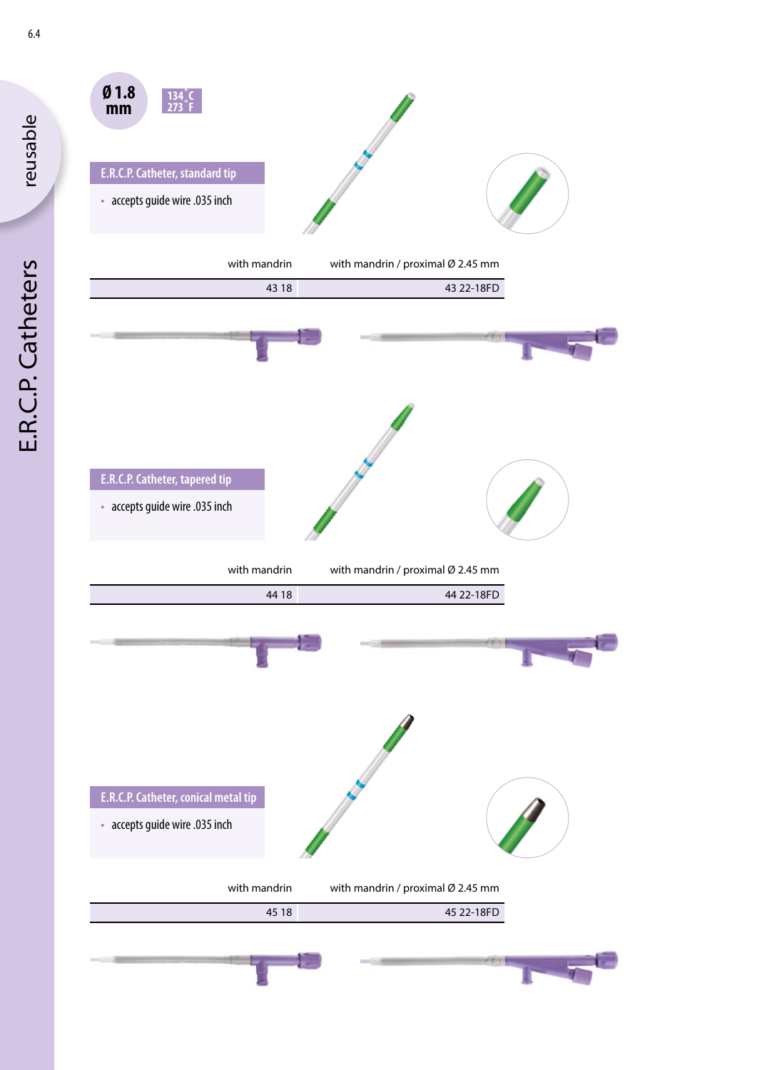

reusable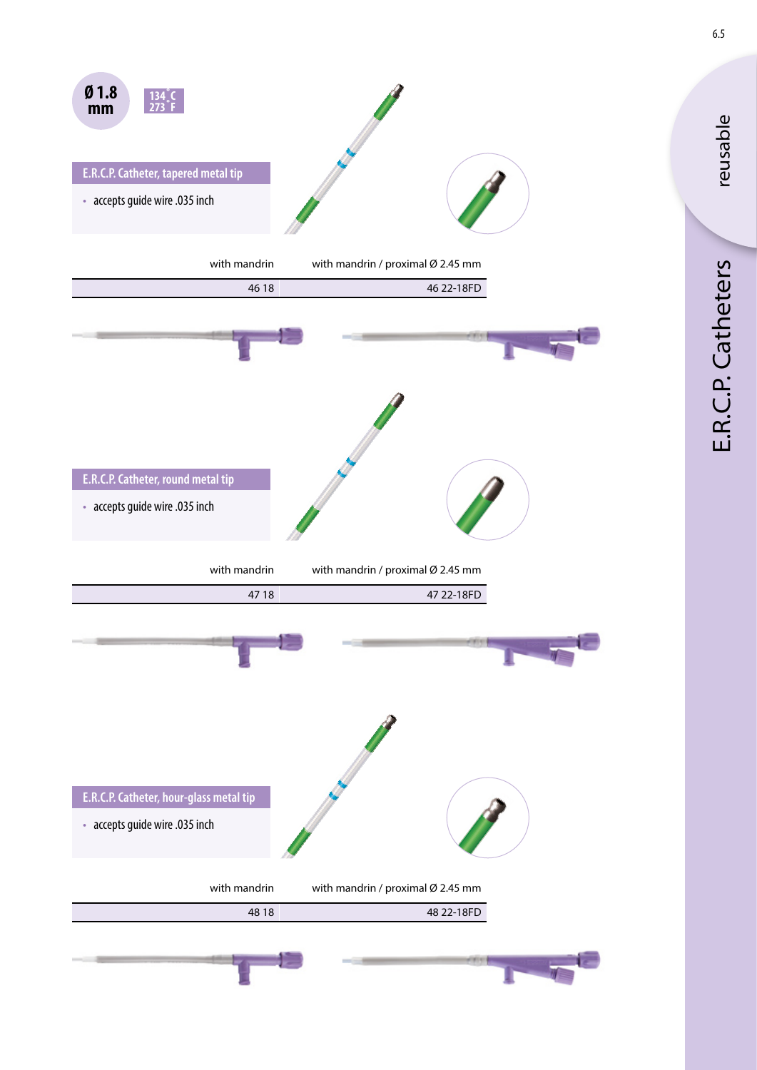

reusable